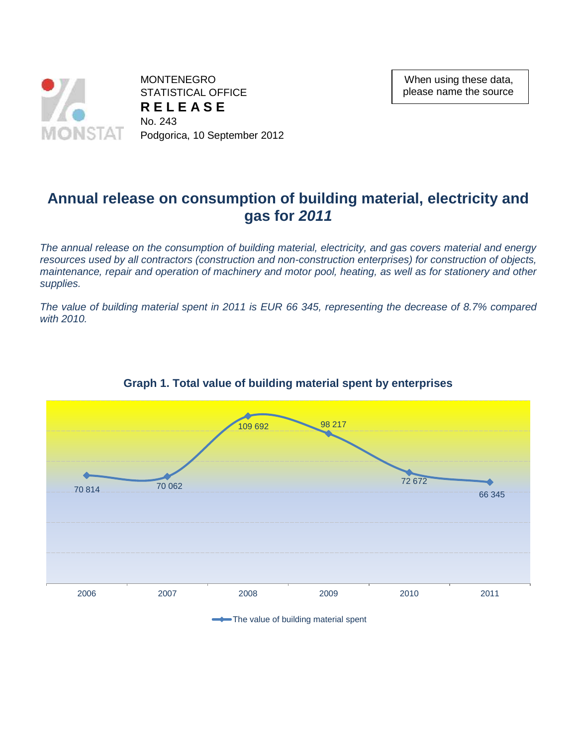

When using these data, please name the source

# **Annual release on consumption of building material, electricity and gas for** *2011*

*The annual release on the consumption of building material, electricity, and gas covers material and energy*  resources used by all contractors (construction and non-construction enterprises) for construction of objects, *maintenance, repair and operation of machinery and motor pool, heating, as well as for stationery and other supplies.*

*The value of building material spent in 2011 is EUR 66 345, representing the decrease of 8.7% compared with 2010.*



## **Graph 1. Total value of building material spent by enterprises**

The value of building material spent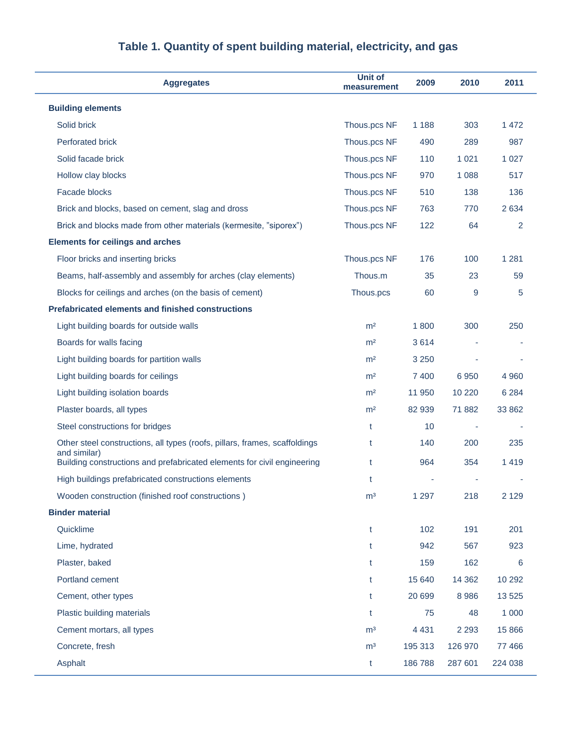| <b>Aggregates</b>                                                                       | Unit of<br>measurement | 2009    | 2010    | 2011    |  |
|-----------------------------------------------------------------------------------------|------------------------|---------|---------|---------|--|
| <b>Building elements</b>                                                                |                        |         |         |         |  |
| Solid brick                                                                             | Thous.pcs NF           | 1 1 8 8 | 303     | 1 4 7 2 |  |
| <b>Perforated brick</b>                                                                 | Thous.pcs NF           | 490     | 289     | 987     |  |
| Solid facade brick                                                                      | Thous.pcs NF           | 110     | 1 0 2 1 | 1 0 2 7 |  |
| Hollow clay blocks                                                                      | Thous.pcs NF           | 970     | 1 0 8 8 | 517     |  |
| Facade blocks                                                                           | Thous.pcs NF           | 510     | 138     | 136     |  |
| Brick and blocks, based on cement, slag and dross                                       | Thous.pcs NF           | 763     | 770     | 2634    |  |
| Brick and blocks made from other materials (kermesite, "siporex")                       | Thous.pcs NF           | 122     | 64      | 2       |  |
| <b>Elements for ceilings and arches</b>                                                 |                        |         |         |         |  |
| Floor bricks and inserting bricks                                                       | Thous.pcs NF           | 176     | 100     | 1 2 8 1 |  |
| Beams, half-assembly and assembly for arches (clay elements)                            | Thous.m                | 35      | 23      | 59      |  |
| Blocks for ceilings and arches (on the basis of cement)                                 | Thous.pcs              | 60      | 9       | 5       |  |
| <b>Prefabricated elements and finished constructions</b>                                |                        |         |         |         |  |
| Light building boards for outside walls                                                 | m <sup>2</sup>         | 1800    | 300     | 250     |  |
| Boards for walls facing                                                                 | m <sup>2</sup>         | 3614    |         |         |  |
| Light building boards for partition walls                                               | m <sup>2</sup>         | 3 2 5 0 |         |         |  |
| Light building boards for ceilings                                                      | m <sup>2</sup>         | 7 4 0 0 | 6950    | 4 9 6 0 |  |
| Light building isolation boards                                                         | m <sup>2</sup>         | 11 950  | 10 2 20 | 6 2 8 4 |  |
| Plaster boards, all types                                                               | m <sup>2</sup>         | 82 939  | 71 882  | 33 862  |  |
| Steel constructions for bridges                                                         | t                      | 10      |         |         |  |
| Other steel constructions, all types (roofs, pillars, frames, scaffoldings              | t                      | 140     | 200     | 235     |  |
| and similar)<br>Building constructions and prefabricated elements for civil engineering | t                      | 964     | 354     | 1419    |  |
| High buildings prefabricated constructions elements                                     | t                      |         |         |         |  |
| Wooden construction (finished roof constructions)                                       | m <sup>3</sup>         | 1 2 9 7 | 218     | 2 1 2 9 |  |
| <b>Binder material</b>                                                                  |                        |         |         |         |  |
| Quicklime                                                                               | t                      | 102     | 191     | 201     |  |
| Lime, hydrated                                                                          | t                      | 942     | 567     | 923     |  |
| Plaster, baked                                                                          | t                      | 159     | 162     | 6       |  |
| Portland cement                                                                         | t                      | 15 640  | 14 3 62 | 10 29 2 |  |
| Cement, other types                                                                     | t                      | 20 699  | 8 9 8 6 | 13 5 25 |  |
| Plastic building materials                                                              | t                      | 75      | 48      | 1 0 0 0 |  |
| Cement mortars, all types                                                               | m <sup>3</sup>         | 4 4 3 1 | 2 2 9 3 | 15 8 66 |  |
| Concrete, fresh                                                                         | m <sup>3</sup>         | 195 313 | 126 970 | 77 466  |  |
| Asphalt                                                                                 | t                      | 186788  | 287 601 | 224 038 |  |

# **Table 1. Quantity of spent building material, electricity, and gas**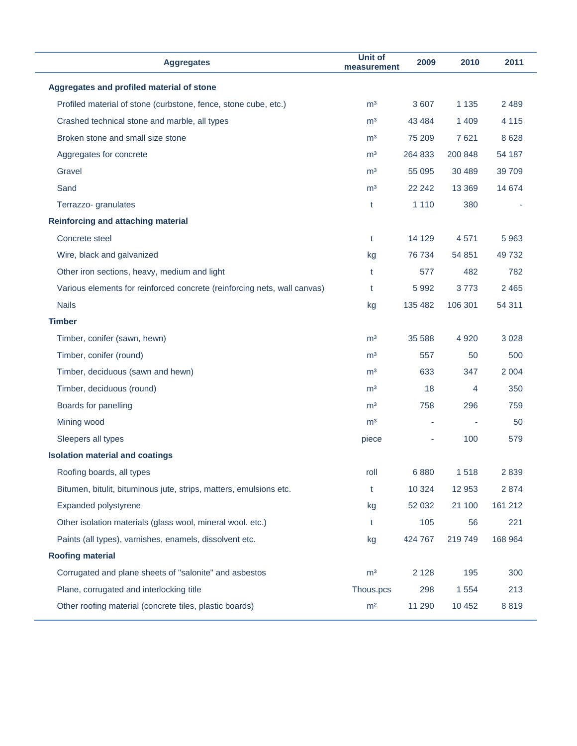| <b>Aggregates</b>                                                        | Unit of<br>measurement | 2009    | 2010    | 2011    |
|--------------------------------------------------------------------------|------------------------|---------|---------|---------|
| Aggregates and profiled material of stone                                |                        |         |         |         |
| Profiled material of stone (curbstone, fence, stone cube, etc.)          | m <sup>3</sup>         | 3 607   | 1 1 3 5 | 2 4 8 9 |
| Crashed technical stone and marble, all types                            | m <sup>3</sup>         | 43 4 84 | 1 4 0 9 | 4 1 1 5 |
| Broken stone and small size stone                                        | m <sup>3</sup>         | 75 209  | 7621    | 8628    |
| Aggregates for concrete                                                  | m <sup>3</sup>         | 264 833 | 200 848 | 54 187  |
| Gravel                                                                   | m <sup>3</sup>         | 55 095  | 30 489  | 39 709  |
| Sand                                                                     | m <sup>3</sup>         | 22 24 2 | 13 3 69 | 14 674  |
| Terrazzo- granulates                                                     | t                      | 1 1 1 0 | 380     |         |
| <b>Reinforcing and attaching material</b>                                |                        |         |         |         |
| Concrete steel                                                           | t                      | 14 129  | 4571    | 5963    |
| Wire, black and galvanized                                               | kg                     | 76 734  | 54 851  | 49732   |
| Other iron sections, heavy, medium and light                             | t                      | 577     | 482     | 782     |
| Various elements for reinforced concrete (reinforcing nets, wall canvas) | t                      | 5992    | 3773    | 2 4 6 5 |
| <b>Nails</b>                                                             | kg                     | 135 482 | 106 301 | 54 311  |
| <b>Timber</b>                                                            |                        |         |         |         |
| Timber, conifer (sawn, hewn)                                             | m <sup>3</sup>         | 35 588  | 4 9 20  | 3 0 28  |
| Timber, conifer (round)                                                  | m <sup>3</sup>         | 557     | 50      | 500     |
| Timber, deciduous (sawn and hewn)                                        | m <sup>3</sup>         | 633     | 347     | 2 0 0 4 |
| Timber, deciduous (round)                                                | m <sup>3</sup>         | 18      | 4       | 350     |
| Boards for panelling                                                     | m <sup>3</sup>         | 758     | 296     | 759     |
| Mining wood                                                              | m <sup>3</sup>         |         |         | 50      |
| Sleepers all types                                                       | piece                  |         | 100     | 579     |
| <b>Isolation material and coatings</b>                                   |                        |         |         |         |
| Roofing boards, all types                                                | roll                   | 6880    | 1518    | 2839    |
| Bitumen, bitulit, bituminous jute, strips, matters, emulsions etc.       | t                      | 10 3 24 | 12 953  | 2874    |
| Expanded polystyrene                                                     | kg                     | 52 032  | 21 100  | 161 212 |
| Other isolation materials (glass wool, mineral wool. etc.)               | t                      | 105     | 56      | 221     |
| Paints (all types), varnishes, enamels, dissolvent etc.                  | kg                     | 424 767 | 219 749 | 168 964 |
| <b>Roofing material</b>                                                  |                        |         |         |         |
| Corrugated and plane sheets of "salonite" and asbestos                   | m <sup>3</sup>         | 2 1 2 8 | 195     | 300     |
| Plane, corrugated and interlocking title                                 | Thous.pcs              | 298     | 1 5 5 4 | 213     |
| Other roofing material (concrete tiles, plastic boards)                  | m <sup>2</sup>         | 11 290  | 10 452  | 8819    |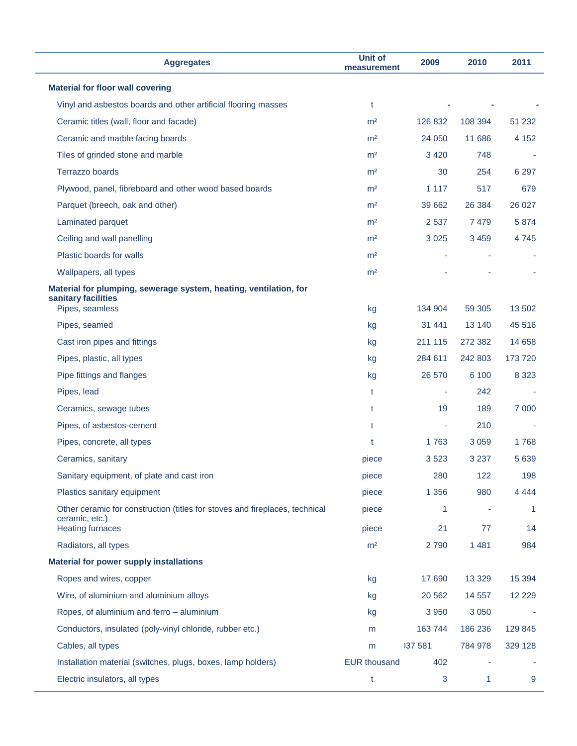| <b>Aggregates</b>                                                                        | <b>Unit of</b><br>measurement | 2009    | 2010    | 2011         |
|------------------------------------------------------------------------------------------|-------------------------------|---------|---------|--------------|
| <b>Material for floor wall covering</b>                                                  |                               |         |         |              |
| Vinyl and asbestos boards and other artificial flooring masses                           | t                             |         |         |              |
| Ceramic titles (wall, floor and facade)                                                  | m <sup>2</sup>                | 126 832 | 108 394 | 51 232       |
| Ceramic and marble facing boards                                                         | m <sup>2</sup>                | 24 050  | 11 686  | 4 1 5 2      |
| Tiles of grinded stone and marble                                                        | m <sup>2</sup>                | 3 4 2 0 | 748     |              |
| Terrazzo boards                                                                          | m <sup>2</sup>                | 30      | 254     | 6 2 9 7      |
| Plywood, panel, fibreboard and other wood based boards                                   | m <sup>2</sup>                | 1 1 1 7 | 517     | 679          |
| Parquet (breech, oak and other)                                                          | m <sup>2</sup>                | 39 662  | 26 384  | 26 0 27      |
| Laminated parquet                                                                        | m <sup>2</sup>                | 2 5 3 7 | 7479    | 5874         |
| Ceiling and wall panelling                                                               | m <sup>2</sup>                | 3 0 2 5 | 3 4 5 9 | 4 7 4 5      |
| Plastic boards for walls                                                                 | m <sup>2</sup>                |         |         |              |
| Wallpapers, all types                                                                    | m <sup>2</sup>                |         |         |              |
| Material for plumping, sewerage system, heating, ventilation, for<br>sanitary facilities |                               |         |         |              |
| Pipes, seamless                                                                          | kg                            | 134 904 | 59 30 5 | 13 502       |
| Pipes, seamed                                                                            | kg                            | 31 441  | 13 140  | 45 516       |
| Cast iron pipes and fittings                                                             | kg                            | 211 115 | 272 382 | 14 6 58      |
| Pipes, plastic, all types                                                                | kg                            | 284 611 | 242 803 | 173 720      |
| Pipe fittings and flanges                                                                | kg                            | 26 570  | 6 100   | 8 3 2 3      |
| Pipes, lead                                                                              | t                             | ÷       | 242     |              |
| Ceramics, sewage tubes                                                                   | t                             | 19      | 189     | 7 0 0 0      |
| Pipes, of asbestos-cement                                                                | t                             | ÷       | 210     |              |
| Pipes, concrete, all types                                                               | t                             | 1763    | 3 0 5 9 | 1768         |
| Ceramics, sanitary                                                                       | piece                         | 3523    | 3 2 3 7 | 5 6 3 9      |
| Sanitary equipment, of plate and cast iron                                               | piece                         | 280     | 122     | 198          |
| Plastics sanitary equipment                                                              | piece                         | 1 3 5 6 | 980     | 4 4 4 4      |
| Other ceramic for construction (titles for stoves and fireplaces, technical              | piece                         | 1       | à,      | $\mathbf{1}$ |
| ceramic, etc.)<br><b>Heating furnaces</b>                                                | piece                         | 21      | 77      | 14           |
| Radiators, all types                                                                     | m <sup>2</sup>                | 2790    | 1 4 8 1 | 984          |
| <b>Material for power supply installations</b>                                           |                               |         |         |              |
| Ropes and wires, copper                                                                  | kg                            | 17 690  | 13 3 29 | 15 3 94      |
| Wire, of aluminium and aluminium alloys                                                  | kg                            | 20 5 62 | 14 5 57 | 12 2 2 9     |
| Ropes, of aluminium and ferro - aluminium                                                | kg                            | 3 9 5 0 | 3 0 5 0 |              |
| Conductors, insulated (poly-vinyl chloride, rubber etc.)                                 | m                             | 163744  | 186 236 | 129 845      |
| Cables, all types                                                                        | m                             | 137 581 | 784 978 | 329 128      |
| Installation material (switches, plugs, boxes, lamp holders)                             | <b>EUR thousand</b>           | 402     |         |              |
| Electric insulators, all types                                                           | t                             | 3       | 1       | 9            |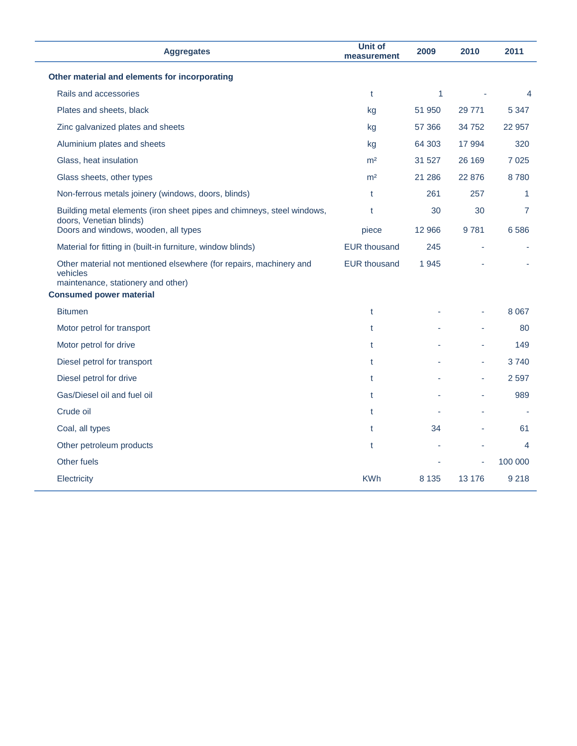| <b>Aggregates</b>                                                                                                    | <b>Unit of</b><br>measurement | 2009    | 2010   | 2011           |
|----------------------------------------------------------------------------------------------------------------------|-------------------------------|---------|--------|----------------|
| Other material and elements for incorporating                                                                        |                               |         |        |                |
| Rails and accessories                                                                                                | t                             | 1       |        | 4              |
| Plates and sheets, black                                                                                             | kg                            | 51 950  | 29 771 | 5 3 4 7        |
| Zinc galvanized plates and sheets                                                                                    | kg                            | 57 366  | 34 752 | 22 957         |
| Aluminium plates and sheets                                                                                          | kg                            | 64 30 3 | 17 994 | 320            |
| Glass, heat insulation                                                                                               | m <sup>2</sup>                | 31 527  | 26 169 | 7 0 2 5        |
| Glass sheets, other types                                                                                            | m <sup>2</sup>                | 21 286  | 22 876 | 8780           |
| Non-ferrous metals joinery (windows, doors, blinds)                                                                  | t                             | 261     | 257    | 1              |
| Building metal elements (iron sheet pipes and chimneys, steel windows,                                               | t                             | 30      | 30     | $\overline{7}$ |
| doors, Venetian blinds)<br>Doors and windows, wooden, all types                                                      | piece                         | 12 966  | 9781   | 6586           |
| Material for fitting in (built-in furniture, window blinds)                                                          | <b>EUR thousand</b>           | 245     | ÷,     |                |
| Other material not mentioned elsewhere (for repairs, machinery and<br>vehicles<br>maintenance, stationery and other) | <b>EUR thousand</b>           | 1945    |        |                |
| <b>Consumed power material</b>                                                                                       |                               |         |        |                |
| <b>Bitumen</b>                                                                                                       | t                             |         |        | 8 0 6 7        |
| Motor petrol for transport                                                                                           | t                             |         |        | 80             |
| Motor petrol for drive                                                                                               | t                             |         |        | 149            |
| Diesel petrol for transport                                                                                          | t                             |         | ä,     | 3740           |
| Diesel petrol for drive                                                                                              | t                             |         | ÷      | 2 5 9 7        |
| Gas/Diesel oil and fuel oil                                                                                          | t                             |         |        | 989            |
| Crude oil                                                                                                            | $\mathsf{t}$                  |         |        |                |
| Coal, all types                                                                                                      | t                             | 34      | ä,     | 61             |
| Other petroleum products                                                                                             | t                             |         |        | 4              |
| Other fuels                                                                                                          |                               |         | ÷      | 100 000        |
| Electricity                                                                                                          | <b>KWh</b>                    | 8 1 3 5 | 13 176 | 9 2 1 8        |
|                                                                                                                      |                               |         |        |                |